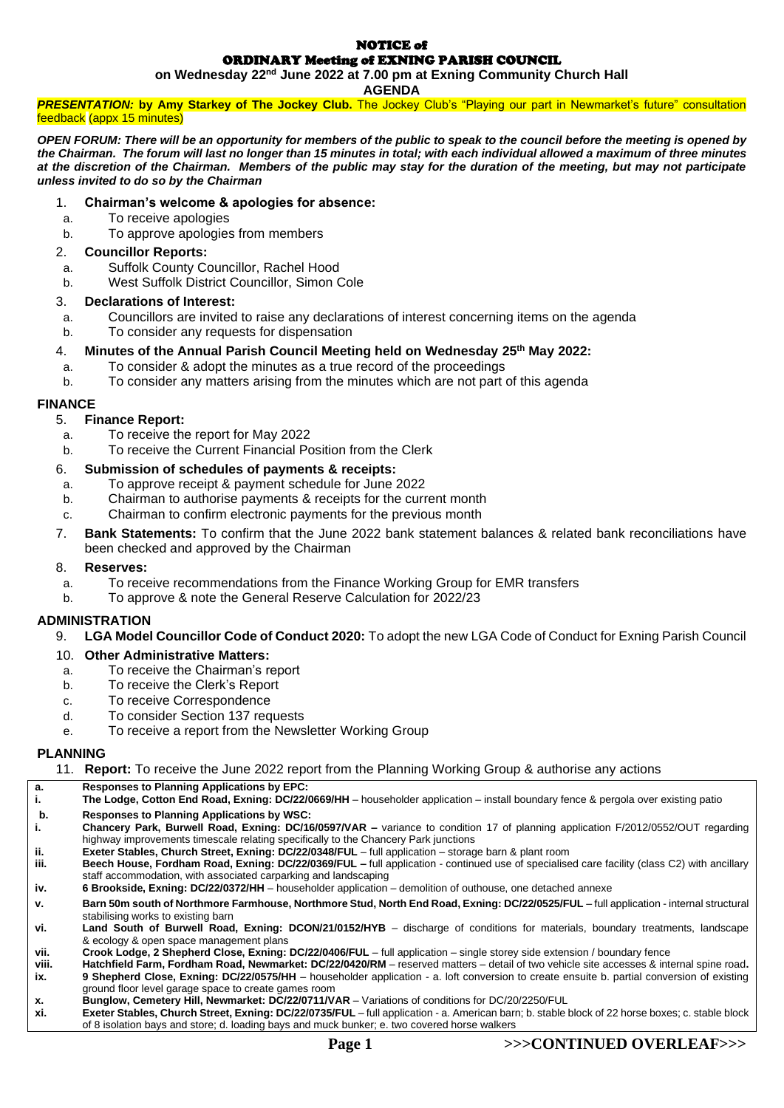#### NOTICE of ORDINARY Meeting of EXNING PARISH COUNCIL

**on Wednesday 22nd June 2022 at 7.00 pm at Exning Community Church Hall**

**AGENDA**

*PRESENTATION:* **by Amy Starkey of The Jockey Club.** The Jockey Club's "Playing our part in Newmarket's future" consultation feedback (appx 15 minutes)

*OPEN FORUM: There will be an opportunity for members of the public to speak to the council before the meeting is opened by the Chairman. The forum will last no longer than 15 minutes in total; with each individual allowed a maximum of three minutes at the discretion of the Chairman. Members of the public may stay for the duration of the meeting, but may not participate unless invited to do so by the Chairman*

## 1. **Chairman's welcome & apologies for absence:**

- a. To receive apologies
- b. To approve apologies from members

#### 2. **Councillor Reports:**

- a. Suffolk County Councillor, Rachel Hood
- b. West Suffolk District Councillor, Simon Cole

## 3. **Declarations of Interest:**

- a. Councillors are invited to raise any declarations of interest concerning items on the agenda
- b. To consider any requests for dispensation

## 4. **Minutes of the Annual Parish Council Meeting held on Wednesday 25th May 2022:**

- a. To consider & adopt the minutes as a true record of the proceedings
- b. To consider any matters arising from the minutes which are not part of this agenda

## **FINANCE**

- 5. **Finance Report:**
- a. To receive the report for May 2022
- b. To receive the Current Financial Position from the Clerk

## 6. **Submission of schedules of payments & receipts:**

- a. To approve receipt & payment schedule for June 2022
- b. Chairman to authorise payments & receipts for the current month
- c. Chairman to confirm electronic payments for the previous month
- 7. **Bank Statements:** To confirm that the June 2022 bank statement balances & related bank reconciliations have been checked and approved by the Chairman

#### 8. **Reserves:**

- a. To receive recommendations from the Finance Working Group for EMR transfers
- b. To approve & note the General Reserve Calculation for 2022/23

#### **ADMINISTRATION**

9. **LGA Model Councillor Code of Conduct 2020:** To adopt the new LGA Code of Conduct for Exning Parish Council

#### 10. **Other Administrative Matters:**

- a. To receive the Chairman's report
- b. To receive the Clerk's Report
- c. To receive Correspondence
- d. To consider Section 137 requests
- e. To receive a report from the Newsletter Working Group

## **PLANNING**

11. **Report:** To receive the June 2022 report from the Planning Working Group & authorise any actions

- **a. Responses to Planning Applications by EPC:**
- **i. The Lodge, Cotton End Road, Exning: DC/22/0669/HH** householder application install boundary fence & pergola over existing patio **b. Responses to Planning Applications by WSC:**
- **i. Chancery Park, Burwell Road, Exning: DC/16/0597/VAR –** variance to condition 17 of planning application F/2012/0552/OUT regarding highway improvements timescale relating specifically to the Chancery Park junctions
- **ii. Exeter Stables, Church Street, Exning: DC/22/0348/FUL** full application storage barn & plant room
- **iii. Beech House, Fordham Road, Exning: DC/22/0369/FUL –** full application continued use of specialised care facility (class C2) with ancillary staff accommodation, with associated carparking and landscaping
- **iv. 6 Brookside, Exning: DC/22/0372/HH** householder application demolition of outhouse, one detached annexe
- **v. Barn 50m south of Northmore Farmhouse, Northmore Stud, North End Road, Exning: DC/22/0525/FUL** full application internal structural stabilising works to existing barn
- **vi. Land South of Burwell Road, Exning: DCON/21/0152/HYB** discharge of conditions for materials, boundary treatments, landscape & ecology & open space management plans
- **vii. Crook Lodge, 2 Shepherd Close, Exning: DC/22/0406/FUL** full application single storey side extension / boundary fence
- **viii. Hatchfield Farm, Fordham Road, Newmarket: DC/22/0420/RM** reserved matters detail of two vehicle site accesses & internal spine road**. ix. 9 Shepherd Close, Exning: DC/22/0575/HH** – householder application - a. loft conversion to create ensuite b. partial conversion of existing ground floor level garage space to create games room
- **x. Bunglow, Cemetery Hill, Newmarket: DC/22/0711/VAR** Variations of conditions for DC/20/2250/FUL<br>**xi. Exeter Stables, Church Street, Exning: DC/22/0735/FUL** full application a. American barn; b. stable
- **xi. Exeter Stables, Church Street, Exning: DC/22/0735/FUL** full application a. American barn; b. stable block of 22 horse boxes; c. stable block of 8 isolation bays and store; d. loading bays and muck bunker; e. two covered horse walkers